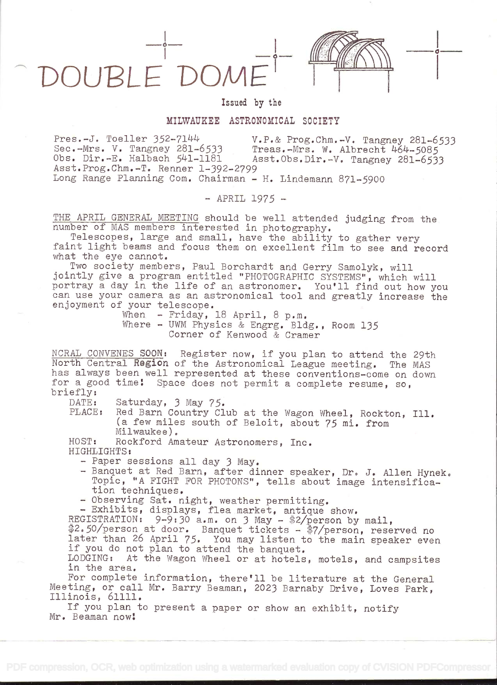## DOUPLE'DOME

Issued by the

o

## MILWAUKEE ASTRONOMICAL SOCIETY

Pres.-J. Toeller 352-7144 v.p.& Prog.Chm.-V. Tangney 281-6533<br>Sec.-Mrs. V. Tangney 281-6533 Treas.-Mrs. W. Albrecht 464-5085<br>Obs. Dir.-E. Halbach 541-1181 Asst.Obs.Dir.-V. Tangney 281-6533 Obs. Dir.-E. Halbach 541-1181 Asst.Obs.Dir.-V. Tangney 281-6533<br>Asst.Prog.Chm.-T. Renner 1-392-2799 Long Range Planning Com. Chairman - H. Lindemann 871-5900

 $-$  APRIL 1975  $-$ 

THE APRIL GENERAL MEETING should be well attended judging from the number of MAS members interested in photography.

Telescopes, large and small, have the ability to gather very<br>faint light beams and focus them on excellent film to see and record<br>what the eye cannot.<br>Two society members, Paul Borchardt and Gerry Samolyk, will

jointly give a program entitled "PHOTOGRAPHIC SYSTEMS", which will<br>portray a day in the life of an astronomer. You'll find out how you<br>can use your camera as an astronomical tool and greatly increase the<br>enjoyment of your

Corner of Kenwood & Cramer

NCRAL CONVENES SOON: Register now, if you plan to attend the 29th<br>North Central Region of the Astronomical League meeting. The MAS<br>has always been well represented at these conventions-come on down<br>for a good time: Space d

DATE: Saturday, 3 May 75.<br>PLACE: Red Barn Country Cl

Red Barn Country Club at the Wagon Wheel, Rockton, Ill. (a few miles south of Beloit, about 75 mi. from Milwaukee).

HOST: Rockford Amateur Astronomers, Inc.<br>HIGHLIGHTS:

- Paper sessions all day 3 May.<br>- Banquet at Red Barn, after dinner speaker, Dr. J. Allen Hynek.<br>Topic, "A FIGHT FOR PHOTONS", tells about image intensifica-<br>tion techniques.<br>- Observing Sat. night, weather permitting.<br>- E

\$2.50/person at door. Banquet tickets - \$7/person, reserved no<br>later than 26 April 75. You may listen to the main speaker even<br>if you do not plan to attend the banquet.<br>LODGING: At the Wagon Wheel or at hotels, motels, and

Meeting, or call Mr. Barry Beaman, 2023 Barnaby Drive, Loves Park, Illinois, 61111.<br>If you plan to present a paper or show an exhibit, notify Mr. Beaman now!